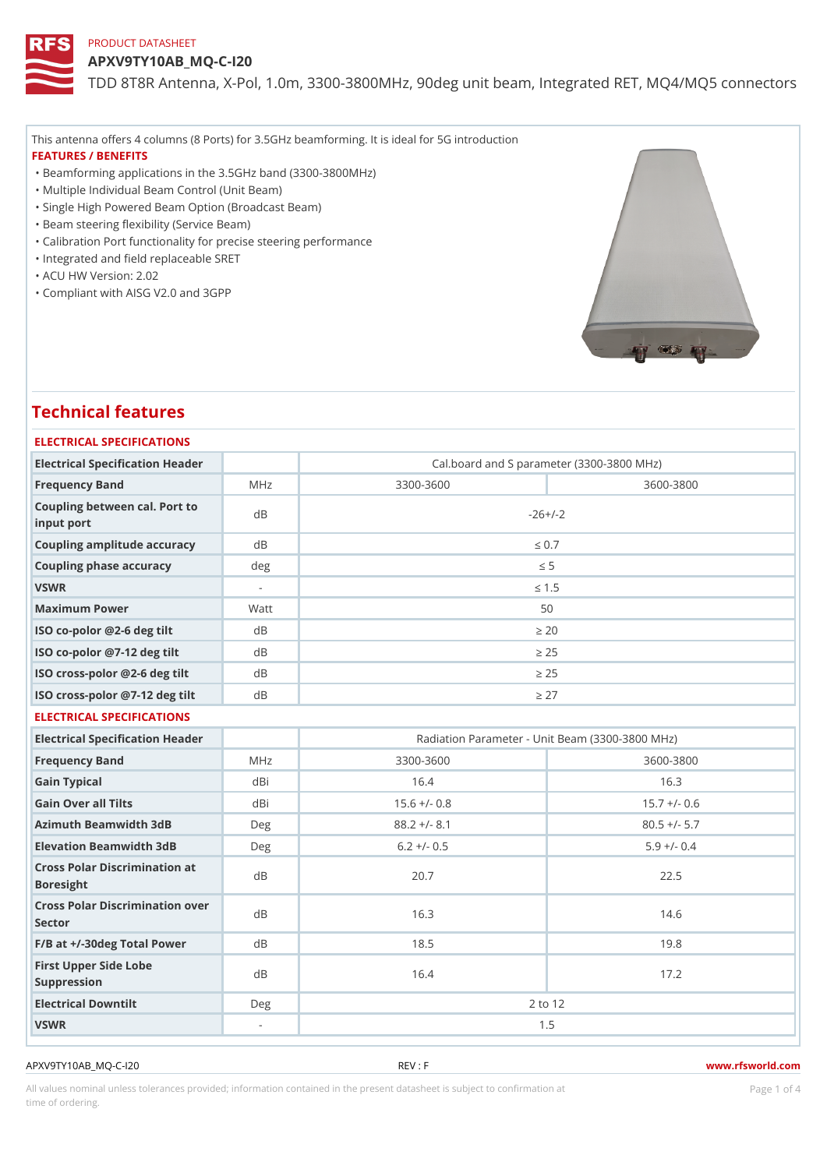APXV9TY10AB\_MQ-C-I20

TDD 8T8R Antenna, X-Pol, 1.0m, 3300-3800MHz, 90deg unit beam, Inte

This antenna offers 4 columns (8 Ports) for 3.5GHz beamforming. It is ideal for 5G introduction FEATURES / BENEFITS

"Beamforming applications in the 3.5GHz band (3300-3800MHz)

"Multiple Individual Beam Control (Unit Beam)

- "Single High Powered Beam Option (Broadcast Beam)
- "Beam steering flexibility (Service Beam)
- "Calibration Port functionality for precise steering performance
- "Integrated and field replaceable SRET
- "ACU HW Version: 2.02

"Compliant with AISG V2.0 and 3GPP

# Technical features

### ELECTRICAL SPECIFICATIONS

| Electrical Specification Header             |                          |           | Cal.board and S parameter (3300-3800 MHz) |
|---------------------------------------------|--------------------------|-----------|-------------------------------------------|
| Frequency Band                              | MHz                      | 3300-3600 | 3600-3800                                 |
| Coupling between cal. Port to<br>input port |                          |           | $-26+/-2$                                 |
| Coupling amplitude accuracydB               |                          |           | " $d \ 0.7$                               |
| Coupling phase accuracy                     | deq                      |           | "d $5$                                    |
| VSWR                                        | $\overline{\phantom{a}}$ |           | " $d$ 1.5                                 |
| Maximum Power                               | Watt                     |           | 50                                        |
| ISO co-polor @2-6 deg tilt dB               |                          |           | " $e$ 20                                  |
| ISO co-polor @7-12 deg tiltdB               |                          |           | "e 25                                     |
| ISO cross-polor @2-6 deg tidtB              |                          |           | "e 25                                     |
| ISO cross-polor @7-12 deg diBt              |                          |           | "e 27                                     |

### ELECTRICAL SPECIFICATIONS

| Electrical Specification Header                   |     |                | Radiation Parameter - Unit Beam (3300-3800 MHz) |  |  |
|---------------------------------------------------|-----|----------------|-------------------------------------------------|--|--|
| Frequency Band                                    | MHz | $3300 - 3600$  | 3600-3800                                       |  |  |
| Gain Typical                                      | dBi | 16.4           | 16.3                                            |  |  |
| Gain Over all Tilts                               | dBi | $15.6$ +/- 0.8 | $15.7 +/- 0.6$                                  |  |  |
| Azimuth Beamwidth 3dB                             | Deg | $88.2 +/- 8.1$ | $80.5$ +/- 5.7                                  |  |  |
| Elevation Beamwidth 3dB                           | Deg | $6.2 +/- 0.5$  | $5.9 +/- 0.4$                                   |  |  |
| Cross Polar Discrimination at<br><b>Boresight</b> |     | 20.7           | 22.5                                            |  |  |
| Cross Polar Discrimination over<br>Sector         |     | 16.3           | 14.6                                            |  |  |
| F/B at +/-30deg Total PowerdB                     |     | 18.5           | 19.8                                            |  |  |
| First Upper Side Lobe<br>Suppression              | d B | 16.4           | 17.2                                            |  |  |
| Electrical Downtilt                               | Deg | 2 to 12        |                                                 |  |  |
| VSWR                                              | ۰.  | 1.5            |                                                 |  |  |

APXV9TY10AB\_MQ-C-I20 REV : F www.rfsworld.com

All values nominal unless tolerances provided; information contained in the present datasheet is subject to Pcaogneion finaltion time of ordering.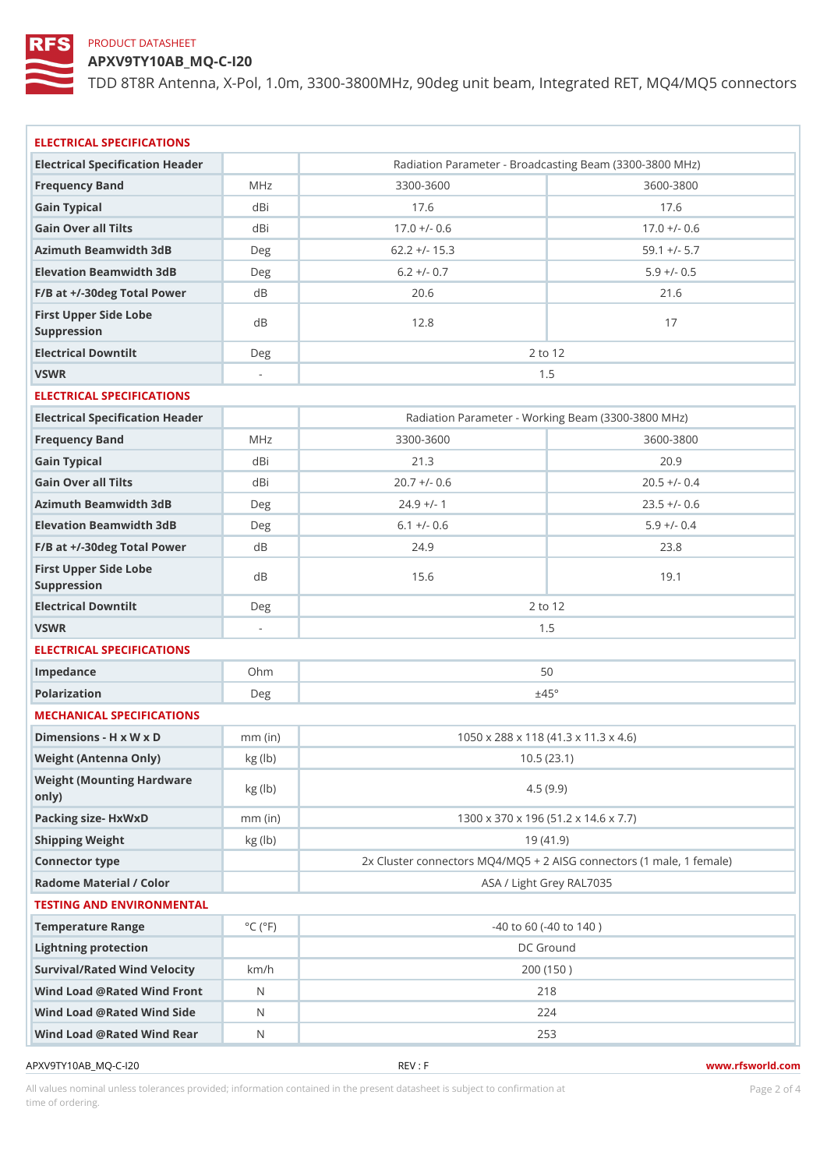APXV9TY10AB\_MQ-C-I20

TDD 8T8R Antenna, X-Pol, 1.0m, 3300-3800MHz, 90deg unit beam, Inte

| ELECTRICAL SPECIFICATIONS                  |                             |                                                   |                                                    |  |
|--------------------------------------------|-----------------------------|---------------------------------------------------|----------------------------------------------------|--|
| Electrical Specification Header            |                             |                                                   | Radiation Parameter - Broadcasting Beam (3300-3800 |  |
| Frequency Band                             | MHz                         | 3300-3600                                         | 3600-3800                                          |  |
| Gain Typical                               | dBi                         | 17.6                                              | 17.6                                               |  |
| Gain Over all Tilts                        | dBi                         | $17.0 +/- 0.6$                                    | $17.0 +/- 0.6$                                     |  |
| Azimuth Beamwidth 3dB                      | Deg                         | $62.2$ +/- 15.3                                   | $59.1 +/- 5.7$                                     |  |
| Elevation Beamwidth 3dB                    | Deg                         | $6.2 +/- 0.7$                                     | $5.9 +/- 0.5$                                      |  |
| $F/B$ at $+/-30$ deg Total PowerdB         |                             | 20.6                                              | 21.6                                               |  |
| First Upper Side Lobe<br>Suppression       | d B                         | 12.8                                              | 17                                                 |  |
| Electrical Downtilt                        | D e g                       |                                                   | 2 to 12                                            |  |
| VSWR                                       | $\Delta \sim 10^{-1}$       |                                                   | 1.5                                                |  |
| ELECTRICAL SPECIFICATIONS                  |                             |                                                   |                                                    |  |
| Electrical Specification Header            |                             |                                                   | Radiation Parameter - Working Beam (3300-3800 MHz  |  |
| Frequency Band                             | MHz                         | 3300-3600                                         | 3600-3800                                          |  |
| Gain Typical                               | dBi                         | 21.3                                              | 20.9                                               |  |
| Gain Over all Tilts                        | dBi                         | $20.7$ +/- 0.6                                    | $20.5$ +/- 0.4                                     |  |
| Azimuth Beamwidth 3dB                      | $D \in \mathfrak{g}$        | $24.9$ +/- 1                                      | $23.5 +/- 0.6$                                     |  |
| Elevation Beamwidth 3dB                    | Deg                         | $6.1 +/- 0.6$                                     | $5.9$ +/- 0.4                                      |  |
| F/B at +/-30deg Total PowerdB              |                             | $24.9$                                            | 23.8                                               |  |
| First Upper Side Lobe<br>Suppression       | d B                         | 15.6                                              | 19.1                                               |  |
| Electrical Downtilt                        | Deg                         |                                                   | 2 to 12                                            |  |
| VSWR                                       | $\mathcal{L}_{\mathcal{A}}$ |                                                   | 1.5                                                |  |
| ELECTRICAL SPECIFICATIONS                  |                             |                                                   |                                                    |  |
| Impedance                                  | Ohm                         |                                                   | 50                                                 |  |
| Polarization                               | Deg                         | ±45°                                              |                                                    |  |
| MECHANICAL SPECIFICATIONS                  |                             |                                                   |                                                    |  |
| Dimensions - H x W x D                     | $mm$ (in)                   |                                                   | 1050 x 288 x 118 (41.3 x 11.3 x 4.6)               |  |
| Weight (Antenna Only)                      | kg (lb)                     | 10.5(23.1)                                        |                                                    |  |
| Weight (Mounting Hardware kg (lb)<br>only) |                             | 4.5(9.9)                                          |                                                    |  |
| Packing size- HxWxD                        | $mm$ (in)                   | 1300 x 370 x 196 (51.2 x 14.6 x 7.7)              |                                                    |  |
| Shipping Weight                            | kg (lb)                     | 19(41.9)                                          |                                                    |  |
| Connector type                             |                             | 2x Cluster connectors MQ4/MQ5 + 2 AISG connectors |                                                    |  |
| Radome Material / Color                    |                             |                                                   | ASA / Light Grey RAL7035                           |  |
| TESTING AND ENVIRONMENTAL                  |                             |                                                   |                                                    |  |
| Temperature Range                          | $^{\circ}$ C ( $^{\circ}$ F | $-40$ to 60 ( $-40$ to 140)                       |                                                    |  |
| Lightning protection                       |                             | DC Ground                                         |                                                    |  |
| Survival/Rated Wind Velocikm/h             |                             | 200 (150)                                         |                                                    |  |
| Wind Load @ Rated Wind Front               |                             | 218                                               |                                                    |  |
| Wind Load @ Rated Wind Sidb                |                             | 224                                               |                                                    |  |
| Wind Load @ Rated Wind ReaN                |                             |                                                   | 253                                                |  |
|                                            |                             |                                                   |                                                    |  |

APXV9TY10AB\_MQ-C-I20 REV : F www.rfsworld.com

All values nominal unless tolerances provided; information contained in the present datasheet is subject to Pcaognéio 21 matio time of ordering.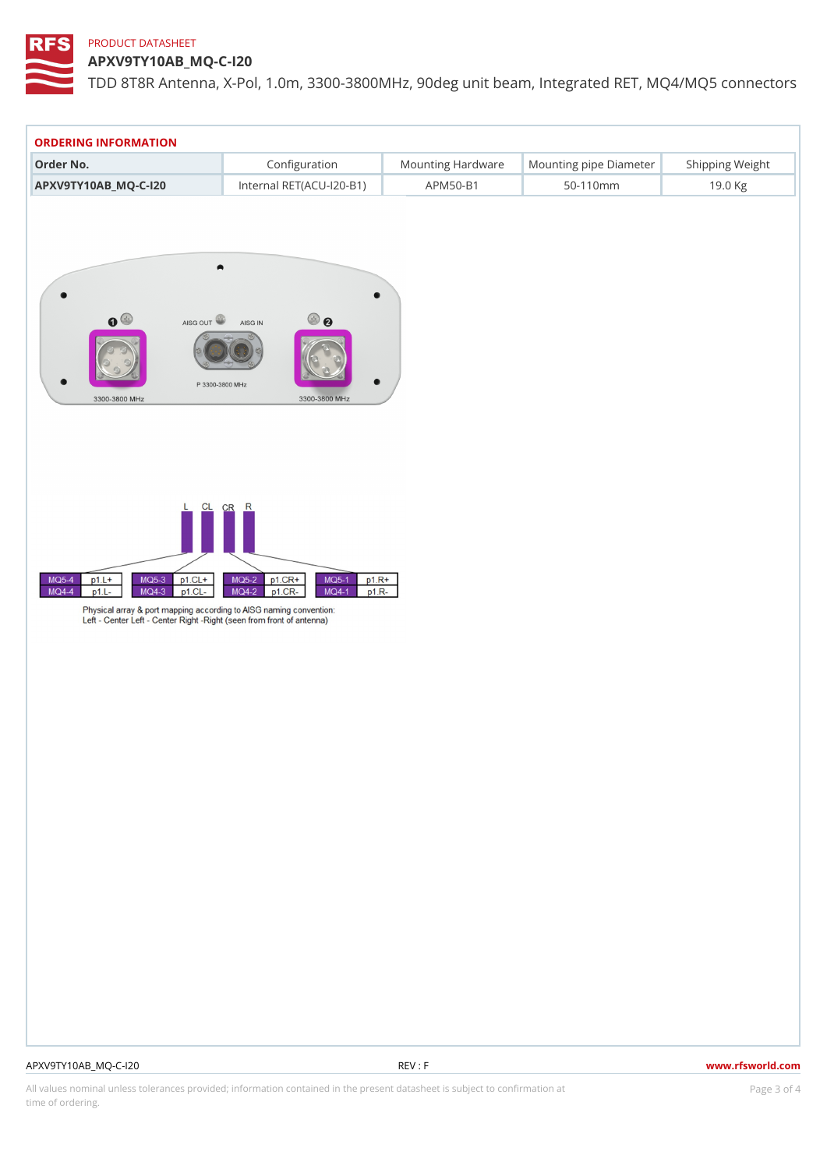APXV9TY10AB\_MQ-C-I20

TDD 8T8R Antenna, X-Pol, 1.0m, 3300-3800MHz, 90deg unit beam, Inte

| ORDERING INFORMATION                                |               |  |                |                                                      |  |  |  |
|-----------------------------------------------------|---------------|--|----------------|------------------------------------------------------|--|--|--|
| Order No.                                           | Configuration |  |                | Mounting HardwaMeunting pipe DiameStheirpping Weight |  |  |  |
| APXV9TY10AB MQ-C-120 Internal RET(ACU-120-BAPM50-B1 |               |  | $50 - 110$ m m | 19.0 Kg                                              |  |  |  |

# APXV9TY10AB\_MQ-C-I20 REV : F www.rfsworld.com

All values nominal unless tolerances provided; information contained in the present datasheet is subject to PcapgéinGM attional time of ordering.